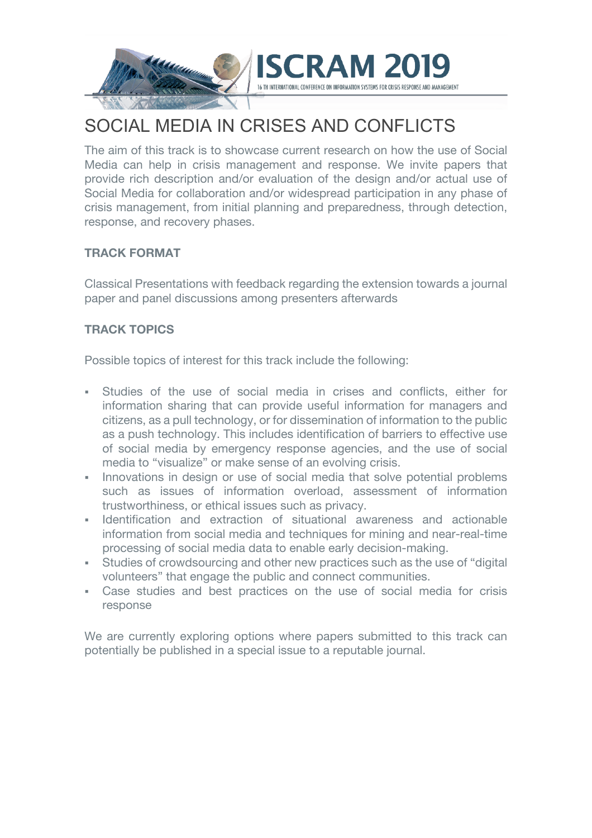

# SOCIAL MEDIA IN CRISES AND CONFLICTS

The aim of this track is to showcase current research on how the use of Social Media can help in crisis management and response. We invite papers that provide rich description and/or evaluation of the design and/or actual use of Social Media for collaboration and/or widespread participation in any phase of crisis management, from initial planning and preparedness, through detection, response, and recovery phases.

## **TRACK FORMAT**

Classical Presentations with feedback regarding the extension towards a journal paper and panel discussions among presenters afterwards

## **TRACK TOPICS**

Possible topics of interest for this track include the following:

- § Studies of the use of social media in crises and conflicts, either for information sharing that can provide useful information for managers and citizens, as a pull technology, or for dissemination of information to the public as a push technology. This includes identification of barriers to effective use of social media by emergency response agencies, and the use of social media to "visualize" or make sense of an evolving crisis.
- Innovations in design or use of social media that solve potential problems such as issues of information overload, assessment of information trustworthiness, or ethical issues such as privacy.
- § Identification and extraction of situational awareness and actionable information from social media and techniques for mining and near-real-time processing of social media data to enable early decision-making.
- Studies of crowdsourcing and other new practices such as the use of "digital volunteers" that engage the public and connect communities.
- § Case studies and best practices on the use of social media for crisis response

We are currently exploring options where papers submitted to this track can potentially be published in a special issue to a reputable journal.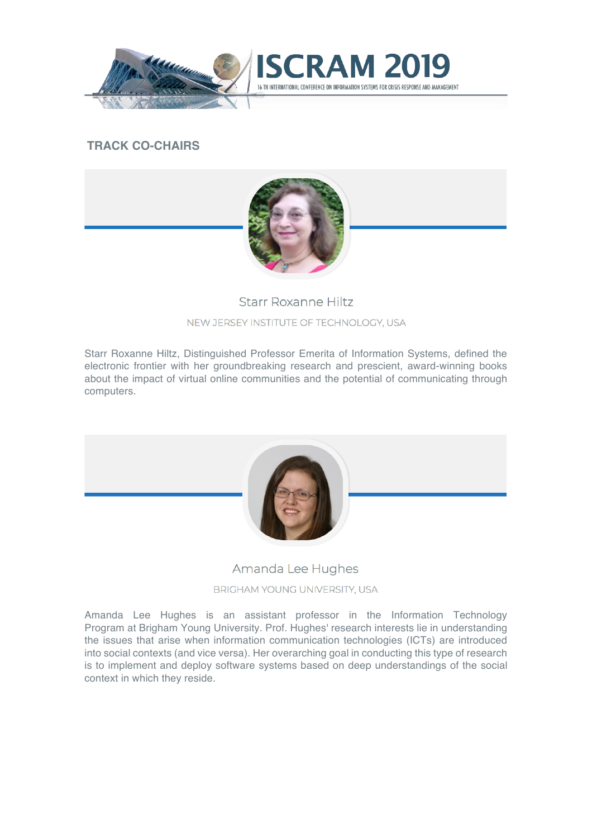

### **TRACK CO-CHAIRS**



ND MANAGEMENT

#### Starr Roxanne Hiltz

#### NEW JERSEY INSTITUTE OF TECHNOLOGY, USA

Starr Roxanne Hiltz, Distinguished Professor Emerita of Information Systems, defined the electronic frontier with her groundbreaking research and prescient, award-winning books about the impact of virtual online communities and the potential of communicating through computers.



#### Amanda Lee Hughes

#### BRIGHAM YOUNG UNIVERSITY, USA

Amanda Lee Hughes is an assistant professor in the Information Technology Program at Brigham Young University. Prof. Hughes' research interests lie in understanding the issues that arise when information communication technologies (ICTs) are introduced into social contexts (and vice versa). Her overarching goal in conducting this type of research is to implement and deploy software systems based on deep understandings of the social context in which they reside.